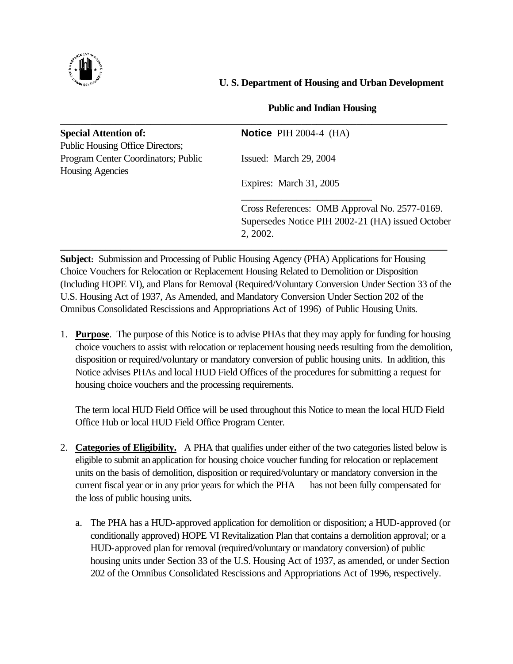

# **U. S. Department of Housing and Urban Development**

# **Public and Indian Housing**

| <b>Special Attention of:</b>            | Notice PIH $2004-4$ (HA)                          |
|-----------------------------------------|---------------------------------------------------|
| <b>Public Housing Office Directors;</b> |                                                   |
| Program Center Coordinators; Public     | Issued: March 29, 2004                            |
| <b>Housing Agencies</b>                 |                                                   |
|                                         | Expires: March 31, 2005                           |
|                                         | Cross References: OMB Approval No. 2577-0169.     |
|                                         | Supersedes Notice PIH 2002-21 (HA) issued October |
|                                         | 2, 2002.                                          |

**Subject:** Submission and Processing of Public Housing Agency (PHA) Applications for Housing Choice Vouchers for Relocation or Replacement Housing Related to Demolition or Disposition (Including HOPE VI), and Plans for Removal (Required/Voluntary Conversion Under Section 33 of the U.S. Housing Act of 1937, As Amended, and Mandatory Conversion Under Section 202 of the Omnibus Consolidated Rescissions and Appropriations Act of 1996) of Public Housing Units.

1. **Purpose**. The purpose of this Notice is to advise PHAs that they may apply for funding for housing choice vouchers to assist with relocation or replacement housing needs resulting from the demolition, disposition or required/voluntary or mandatory conversion of public housing units. In addition, this Notice advises PHAs and local HUD Field Offices of the procedures for submitting a request for housing choice vouchers and the processing requirements.

The term local HUD Field Office will be used throughout this Notice to mean the local HUD Field Office Hub or local HUD Field Office Program Center.

- 2. **Categories of Eligibility.** A PHA that qualifies under either of the two categories listed below is eligible to submit an application for housing choice voucher funding for relocation or replacement units on the basis of demolition, disposition or required/voluntary or mandatory conversion in the current fiscal year or in any prior years for which the PHA has not been fully compensated for the loss of public housing units.
	- a. The PHA has a HUD-approved application for demolition or disposition; a HUD-approved (or conditionally approved) HOPE VI Revitalization Plan that contains a demolition approval; or a HUD-approved plan for removal (required/voluntary or mandatory conversion) of public housing units under Section 33 of the U.S. Housing Act of 1937, as amended, or under Section 202 of the Omnibus Consolidated Rescissions and Appropriations Act of 1996, respectively.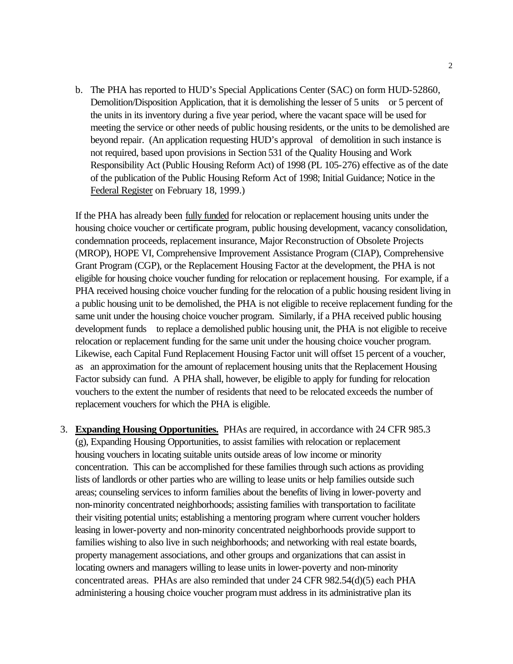b. The PHA has reported to HUD's Special Applications Center (SAC) on form HUD-52860, Demolition/Disposition Application, that it is demolishing the lesser of 5 units or 5 percent of the units in its inventory during a five year period, where the vacant space will be used for meeting the service or other needs of public housing residents, or the units to be demolished are beyond repair. (An application requesting HUD's approval of demolition in such instance is not required, based upon provisions in Section 531 of the Quality Housing and Work Responsibility Act (Public Housing Reform Act) of 1998 (PL 105-276) effective as of the date of the publication of the Public Housing Reform Act of 1998; Initial Guidance; Notice in the Federal Register on February 18, 1999.)

If the PHA has already been fully funded for relocation or replacement housing units under the housing choice voucher or certificate program, public housing development, vacancy consolidation, condemnation proceeds, replacement insurance, Major Reconstruction of Obsolete Projects (MROP), HOPE VI, Comprehensive Improvement Assistance Program (CIAP), Comprehensive Grant Program (CGP), or the Replacement Housing Factor at the development, the PHA is not eligible for housing choice voucher funding for relocation or replacement housing. For example, if a PHA received housing choice voucher funding for the relocation of a public housing resident living in a public housing unit to be demolished, the PHA is not eligible to receive replacement funding for the same unit under the housing choice voucher program. Similarly, if a PHA received public housing development funds to replace a demolished public housing unit, the PHA is not eligible to receive relocation or replacement funding for the same unit under the housing choice voucher program. Likewise, each Capital Fund Replacement Housing Factor unit will offset 15 percent of a voucher, as an approximation for the amount of replacement housing units that the Replacement Housing Factor subsidy can fund. A PHA shall, however, be eligible to apply for funding for relocation vouchers to the extent the number of residents that need to be relocated exceeds the number of replacement vouchers for which the PHA is eligible.

3. **Expanding Housing Opportunities.** PHAs are required, in accordance with 24 CFR 985.3 (g), Expanding Housing Opportunities, to assist families with relocation or replacement housing vouchers in locating suitable units outside areas of low income or minority concentration. This can be accomplished for these families through such actions as providing lists of landlords or other parties who are willing to lease units or help families outside such areas; counseling services to inform families about the benefits of living in lower-poverty and non-minority concentrated neighborhoods; assisting families with transportation to facilitate their visiting potential units; establishing a mentoring program where current voucher holders leasing in lower-poverty and non-minority concentrated neighborhoods provide support to families wishing to also live in such neighborhoods; and networking with real estate boards, property management associations, and other groups and organizations that can assist in locating owners and managers willing to lease units in lower-poverty and non-minority concentrated areas. PHAs are also reminded that under 24 CFR 982.54(d)(5) each PHA administering a housing choice voucher program must address in its administrative plan its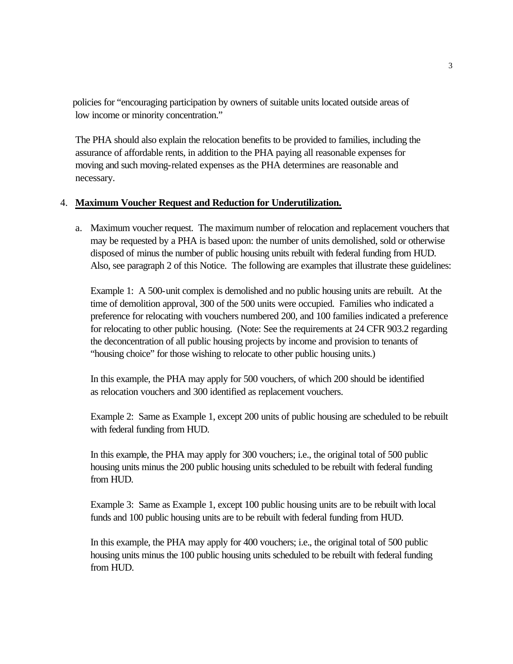policies for "encouraging participation by owners of suitable units located outside areas of low income or minority concentration."

 The PHA should also explain the relocation benefits to be provided to families, including the assurance of affordable rents, in addition to the PHA paying all reasonable expenses for moving and such moving-related expenses as the PHA determines are reasonable and necessary.

### 4. **Maximum Voucher Request and Reduction for Underutilization.**

a. Maximum voucher request. The maximum number of relocation and replacement vouchers that may be requested by a PHA is based upon: the number of units demolished, sold or otherwise disposed of minus the number of public housing units rebuilt with federal funding from HUD. Also, see paragraph 2 of this Notice. The following are examples that illustrate these guidelines:

Example 1: A 500-unit complex is demolished and no public housing units are rebuilt. At the time of demolition approval, 300 of the 500 units were occupied. Families who indicated a preference for relocating with vouchers numbered 200, and 100 families indicated a preference for relocating to other public housing. (Note: See the requirements at 24 CFR 903.2 regarding the deconcentration of all public housing projects by income and provision to tenants of "housing choice" for those wishing to relocate to other public housing units.)

In this example, the PHA may apply for 500 vouchers, of which 200 should be identified as relocation vouchers and 300 identified as replacement vouchers.

Example 2: Same as Example 1, except 200 units of public housing are scheduled to be rebuilt with federal funding from HUD.

In this example, the PHA may apply for 300 vouchers; i.e., the original total of 500 public housing units minus the 200 public housing units scheduled to be rebuilt with federal funding from HUD.

Example 3: Same as Example 1, except 100 public housing units are to be rebuilt with local funds and 100 public housing units are to be rebuilt with federal funding from HUD.

In this example, the PHA may apply for 400 vouchers; i.e., the original total of 500 public housing units minus the 100 public housing units scheduled to be rebuilt with federal funding from HUD.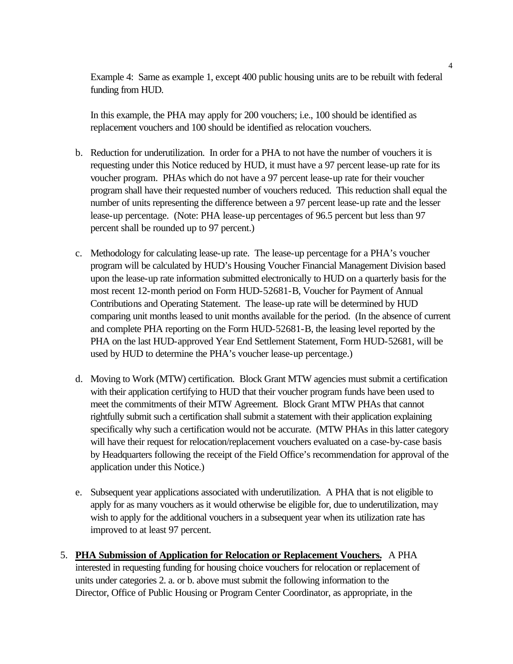Example 4: Same as example 1, except 400 public housing units are to be rebuilt with federal funding from HUD.

In this example, the PHA may apply for 200 vouchers; i.e., 100 should be identified as replacement vouchers and 100 should be identified as relocation vouchers.

- b. Reduction for underutilization. In order for a PHA to not have the number of vouchers it is requesting under this Notice reduced by HUD, it must have a 97 percent lease-up rate for its voucher program. PHAs which do not have a 97 percent lease-up rate for their voucher program shall have their requested number of vouchers reduced. This reduction shall equal the number of units representing the difference between a 97 percent lease-up rate and the lesser lease-up percentage. (Note: PHA lease-up percentages of 96.5 percent but less than 97 percent shall be rounded up to 97 percent.)
- c. Methodology for calculating lease-up rate. The lease-up percentage for a PHA's voucher program will be calculated by HUD's Housing Voucher Financial Management Division based upon the lease-up rate information submitted electronically to HUD on a quarterly basis for the most recent 12-month period on Form HUD-52681-B, Voucher for Payment of Annual Contributions and Operating Statement. The lease-up rate will be determined by HUD comparing unit months leased to unit months available for the period. (In the absence of current and complete PHA reporting on the Form HUD-52681-B, the leasing level reported by the PHA on the last HUD-approved Year End Settlement Statement, Form HUD-52681, will be used by HUD to determine the PHA's voucher lease-up percentage.)
- d. Moving to Work (MTW) certification. Block Grant MTW agencies must submit a certification with their application certifying to HUD that their voucher program funds have been used to meet the commitments of their MTW Agreement. Block Grant MTW PHAs that cannot rightfully submit such a certification shall submit a statement with their application explaining specifically why such a certification would not be accurate. (MTW PHAs in this latter category will have their request for relocation/replacement vouchers evaluated on a case-by-case basis by Headquarters following the receipt of the Field Office's recommendation for approval of the application under this Notice.)
- e. Subsequent year applications associated with underutilization. A PHA that is not eligible to apply for as many vouchers as it would otherwise be eligible for, due to underutilization, may wish to apply for the additional vouchers in a subsequent year when its utilization rate has improved to at least 97 percent.
- 5. **PHA Submission of Application for Relocation or Replacement Vouchers.** A PHA interested in requesting funding for housing choice vouchers for relocation or replacement of units under categories 2. a. or b. above must submit the following information to the Director, Office of Public Housing or Program Center Coordinator, as appropriate, in the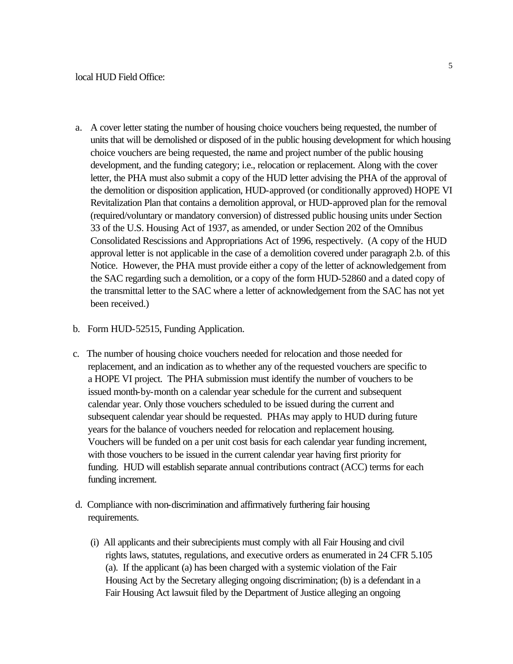- a. A cover letter stating the number of housing choice vouchers being requested, the number of units that will be demolished or disposed of in the public housing development for which housing choice vouchers are being requested, the name and project number of the public housing development, and the funding category; i.e., relocation or replacement. Along with the cover letter, the PHA must also submit a copy of the HUD letter advising the PHA of the approval of the demolition or disposition application, HUD-approved (or conditionally approved) HOPE VI Revitalization Plan that contains a demolition approval, or HUD-approved plan for the removal (required/voluntary or mandatory conversion) of distressed public housing units under Section 33 of the U.S. Housing Act of 1937, as amended, or under Section 202 of the Omnibus Consolidated Rescissions and Appropriations Act of 1996, respectively. (A copy of the HUD approval letter is not applicable in the case of a demolition covered under paragraph 2.b. of this Notice. However, the PHA must provide either a copy of the letter of acknowledgement from the SAC regarding such a demolition, or a copy of the form HUD-52860 and a dated copy of the transmittal letter to the SAC where a letter of acknowledgement from the SAC has not yet been received.)
- b. Form HUD-52515, Funding Application.
- c. The number of housing choice vouchers needed for relocation and those needed for replacement, and an indication as to whether any of the requested vouchers are specific to a HOPE VI project. The PHA submission must identify the number of vouchers to be issued month-by-month on a calendar year schedule for the current and subsequent calendar year. Only those vouchers scheduled to be issued during the current and subsequent calendar year should be requested. PHAs may apply to HUD during future years for the balance of vouchers needed for relocation and replacement housing. Vouchers will be funded on a per unit cost basis for each calendar year funding increment, with those vouchers to be issued in the current calendar year having first priority for funding. HUD will establish separate annual contributions contract (ACC) terms for each funding increment.
- d. Compliance with non-discrimination and affirmatively furthering fair housing requirements.
	- (i) All applicants and their subrecipients must comply with all Fair Housing and civil rights laws, statutes, regulations, and executive orders as enumerated in 24 CFR 5.105 (a). If the applicant (a) has been charged with a systemic violation of the Fair Housing Act by the Secretary alleging ongoing discrimination; (b) is a defendant in a Fair Housing Act lawsuit filed by the Department of Justice alleging an ongoing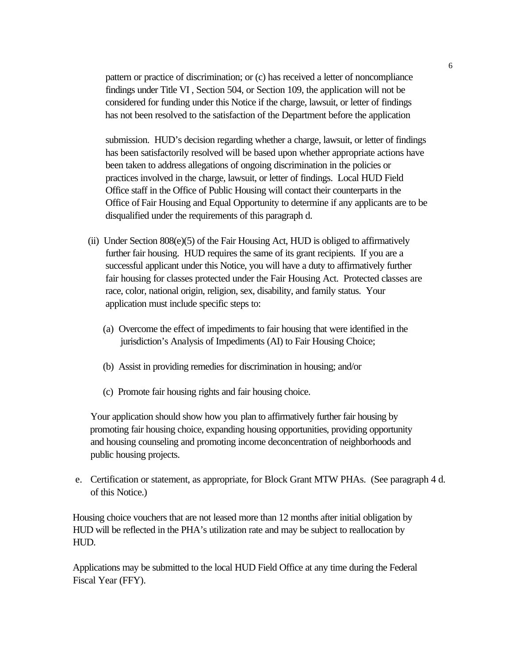pattern or practice of discrimination; or (c) has received a letter of noncompliance findings under Title VI , Section 504, or Section 109, the application will not be considered for funding under this Notice if the charge, lawsuit, or letter of findings has not been resolved to the satisfaction of the Department before the application

 submission. HUD's decision regarding whether a charge, lawsuit, or letter of findings has been satisfactorily resolved will be based upon whether appropriate actions have been taken to address allegations of ongoing discrimination in the policies or practices involved in the charge, lawsuit, or letter of findings. Local HUD Field Office staff in the Office of Public Housing will contact their counterparts in the Office of Fair Housing and Equal Opportunity to determine if any applicants are to be disqualified under the requirements of this paragraph d.

- (ii) Under Section  $808(e)(5)$  of the Fair Housing Act, HUD is obliged to affirmatively further fair housing. HUD requires the same of its grant recipients. If you are a successful applicant under this Notice, you will have a duty to affirmatively further fair housing for classes protected under the Fair Housing Act. Protected classes are race, color, national origin, religion, sex, disability, and family status. Your application must include specific steps to:
	- (a) Overcome the effect of impediments to fair housing that were identified in the jurisdiction's Analysis of Impediments (AI) to Fair Housing Choice;
	- (b) Assist in providing remedies for discrimination in housing; and/or
	- (c) Promote fair housing rights and fair housing choice.

Your application should show how you plan to affirmatively further fair housing by promoting fair housing choice, expanding housing opportunities, providing opportunity and housing counseling and promoting income deconcentration of neighborhoods and public housing projects.

e. Certification or statement, as appropriate, for Block Grant MTW PHAs. (See paragraph 4 d. of this Notice.)

 Housing choice vouchers that are not leased more than 12 months after initial obligation by HUD will be reflected in the PHA's utilization rate and may be subject to reallocation by HUD.

 Applications may be submitted to the local HUD Field Office at any time during the Federal Fiscal Year (FFY).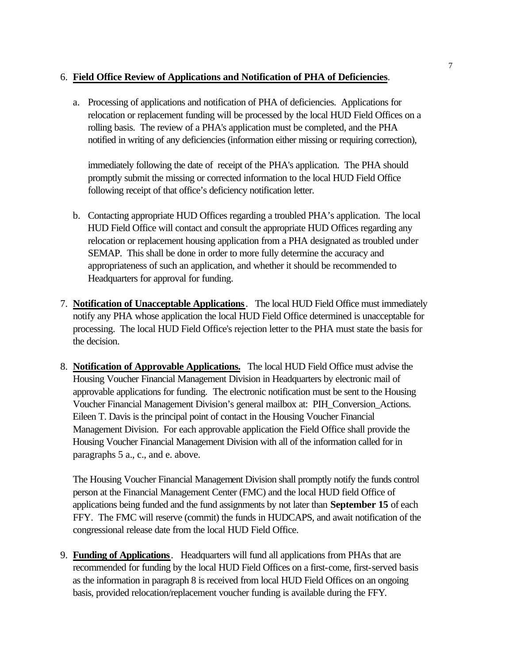# 6. **Field Office Review of Applications and Notification of PHA of Deficiencies**.

a. Processing of applications and notification of PHA of deficiencies. Applications for relocation or replacement funding will be processed by the local HUD Field Offices on a rolling basis. The review of a PHA's application must be completed, and the PHA notified in writing of any deficiencies (information either missing or requiring correction),

 immediately following the date of receipt of the PHA's application. The PHA should promptly submit the missing or corrected information to the local HUD Field Office following receipt of that office's deficiency notification letter.

- b. Contacting appropriate HUD Offices regarding a troubled PHA's application. The local HUD Field Office will contact and consult the appropriate HUD Offices regarding any relocation or replacement housing application from a PHA designated as troubled under SEMAP. This shall be done in order to more fully determine the accuracy and appropriateness of such an application, and whether it should be recommended to Headquarters for approval for funding.
- 7. **Notification of Unacceptable Applications**. The local HUD Field Office must immediately notify any PHA whose application the local HUD Field Office determined is unacceptable for processing. The local HUD Field Office's rejection letter to the PHA must state the basis for the decision.
- 8. **Notification of Approvable Applications.** The local HUD Field Office must advise the Housing Voucher Financial Management Division in Headquarters by electronic mail of approvable applications for funding. The electronic notification must be sent to the Housing Voucher Financial Management Division's general mailbox at: PIH\_Conversion\_Actions. Eileen T. Davis is the principal point of contact in the Housing Voucher Financial Management Division. For each approvable application the Field Office shall provide the Housing Voucher Financial Management Division with all of the information called for in paragraphs 5 a., c., and e. above.

 The Housing Voucher Financial Management Division shall promptly notify the funds control person at the Financial Management Center (FMC) and the local HUD field Office of applications being funded and the fund assignments by not later than **September 15** of each FFY. The FMC will reserve (commit) the funds in HUDCAPS, and await notification of the congressional release date from the local HUD Field Office.

9. **Funding of Applications**. Headquarters will fund all applications from PHAs that are recommended for funding by the local HUD Field Offices on a first-come, first-served basis as the information in paragraph 8 is received from local HUD Field Offices on an ongoing basis, provided relocation/replacement voucher funding is available during the FFY.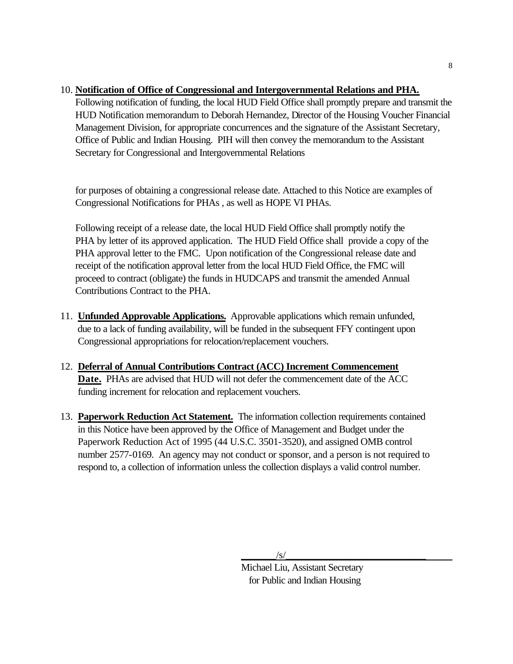# 10. **Notification of Office of Congressional and Intergovernmental Relations and PHA.**

Following notification of funding, the local HUD Field Office shall promptly prepare and transmit the HUD Notification memorandum to Deborah Hernandez, Director of the Housing Voucher Financial Management Division, for appropriate concurrences and the signature of the Assistant Secretary, Office of Public and Indian Housing. PIH will then convey the memorandum to the Assistant Secretary for Congressional and Intergovernmental Relations

for purposes of obtaining a congressional release date. Attached to this Notice are examples of Congressional Notifications for PHAs , as well as HOPE VI PHAs.

 Following receipt of a release date, the local HUD Field Office shall promptly notify the PHA by letter of its approved application. The HUD Field Office shall provide a copy of the PHA approval letter to the FMC. Upon notification of the Congressional release date and receipt of the notification approval letter from the local HUD Field Office, the FMC will proceed to contract (obligate) the funds in HUDCAPS and transmit the amended Annual Contributions Contract to the PHA.

- 11. **Unfunded Approvable Applications.** Approvable applications which remain unfunded, due to a lack of funding availability, will be funded in the subsequent FFY contingent upon Congressional appropriations for relocation/replacement vouchers.
- 12. **Deferral of Annual Contributions Contract (ACC) Increment Commencement Date.** PHAs are advised that HUD will not defer the commencement date of the ACC funding increment for relocation and replacement vouchers.
- 13. **Paperwork Reduction Act Statement.** The information collection requirements contained in this Notice have been approved by the Office of Management and Budget under the Paperwork Reduction Act of 1995 (44 U.S.C. 3501-3520), and assigned OMB control number 2577-0169. An agency may not conduct or sponsor, and a person is not required to respond to, a collection of information unless the collection displays a valid control number.

Michael Liu, Assistant Secretary for Public and Indian Housing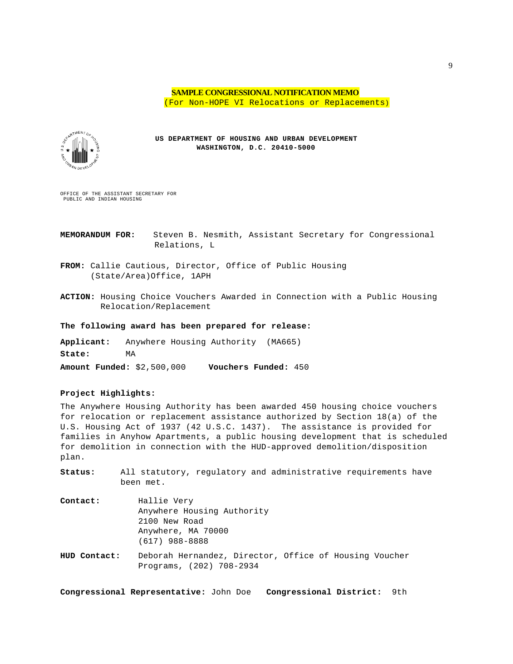### **SAMPLE CONGRESSIONAL NOTIFICATION MEMO** (For Non-HOPE VI Relocations or Replacements)



**US DEPARTMENT OF HOUSING AND URBAN DEVELOPMENT WASHINGTON, D.C. 20410-5000**

OFFICE OF THE ASSISTANT SECRETARY FOR PUBLIC AND INDIAN HOUSING

**MEMORANDUM FOR:** Steven B. Nesmith, Assistant Secretary for Congressional Relations, L

**FROM:** Callie Cautious, Director, Office of Public Housing (State/Area)Office, 1APH

**ACTION:** Housing Choice Vouchers Awarded in Connection with a Public Housing Relocation/Replacement

#### **The following award has been prepared for release:**

**Applicant:** Anywhere Housing Authority (MA665) **State:** MA **Amount Funded:** \$2,500,000 **Vouchers Funded:** 450

#### **Project Highlights:**

The Anywhere Housing Authority has been awarded 450 housing choice vouchers for relocation or replacement assistance authorized by Section 18(a) of the U.S. Housing Act of 1937 (42 U.S.C. 1437). The assistance is provided for families in Anyhow Apartments, a public housing development that is scheduled for demolition in connection with the HUD-approved demolition/disposition plan.

**Status:** All statutory, regulatory and administrative requirements have been met. **Contact:** Hallie Very

|              | Anywhere Housing Authority                                                         |
|--------------|------------------------------------------------------------------------------------|
|              | 2100 New Road                                                                      |
|              | Anywhere, MA 70000<br>$(617)$ 988-8888                                             |
| HUD Contact: | Deborah Hernandez, Director, Office of Housing Voucher<br>Programs, (202) 708-2934 |

**Congressional Representative:** John Doe **Congressional District:** 9th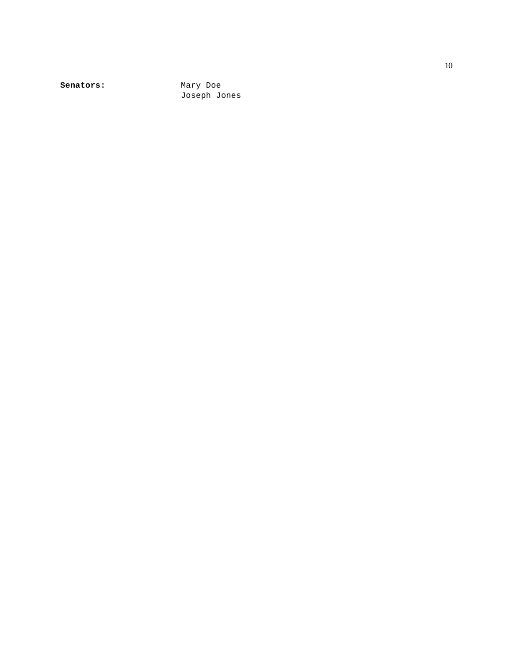Senators: Mary Doe

Joseph Jones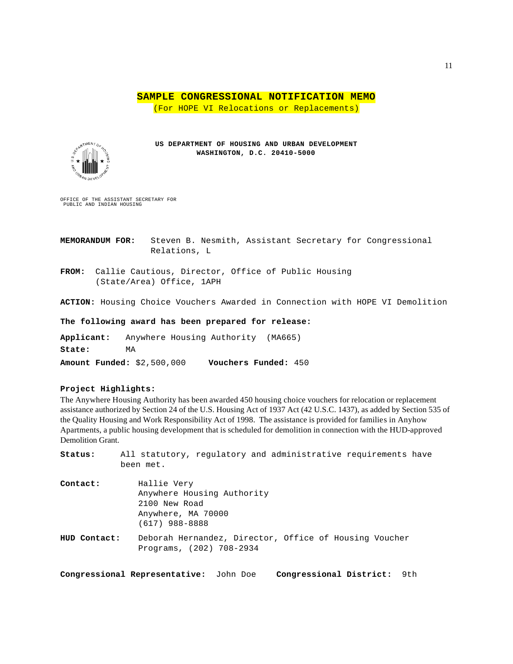**SAMPLE CONGRESSIONAL NOTIFICATION MEMO**

(For HOPE VI Relocations or Replacements)



**US DEPARTMENT OF HOUSING AND URBAN DEVELOPMENT WASHINGTON, D.C. 20410-5000**

OFFICE OF THE ASSISTANT SECRETARY FOR PUBLIC AND INDIAN HOUSING

**MEMORANDUM FOR:** Steven B. Nesmith, Assistant Secretary for Congressional Relations, L

**FROM:** Callie Cautious, Director, Office of Public Housing (State/Area) Office, 1APH

**ACTION:** Housing Choice Vouchers Awarded in Connection with HOPE VI Demolition

**The following award has been prepared for release:**

**Applicant:** Anywhere Housing Authority (MA665) **State:** MA **Amount Funded:** \$2,500,000 **Vouchers Funded:** 450

### **Project Highlights:**

The Anywhere Housing Authority has been awarded 450 housing choice vouchers for relocation or replacement assistance authorized by Section 24 of the U.S. Housing Act of 1937 Act (42 U.S.C. 1437), as added by Section 535 of the Quality Housing and Work Responsibility Act of 1998. The assistance is provided for families in Anyhow Apartments, a public housing development that is scheduled for demolition in connection with the HUD-approved Demolition Grant.

| Status:      | All statutory, regulatory and administrative requirements have<br>been met.                          |
|--------------|------------------------------------------------------------------------------------------------------|
| Contact:     | Hallie Very<br>Anywhere Housing Authority<br>2100 New Road<br>Anywhere, MA 70000<br>$(617)$ 988-8888 |
| HUD Contact: | Deborah Hernandez, Director, Office of Housing Voucher<br>Programs, (202) 708-2934                   |

**Congressional Representative:** John Doe **Congressional District:** 9th